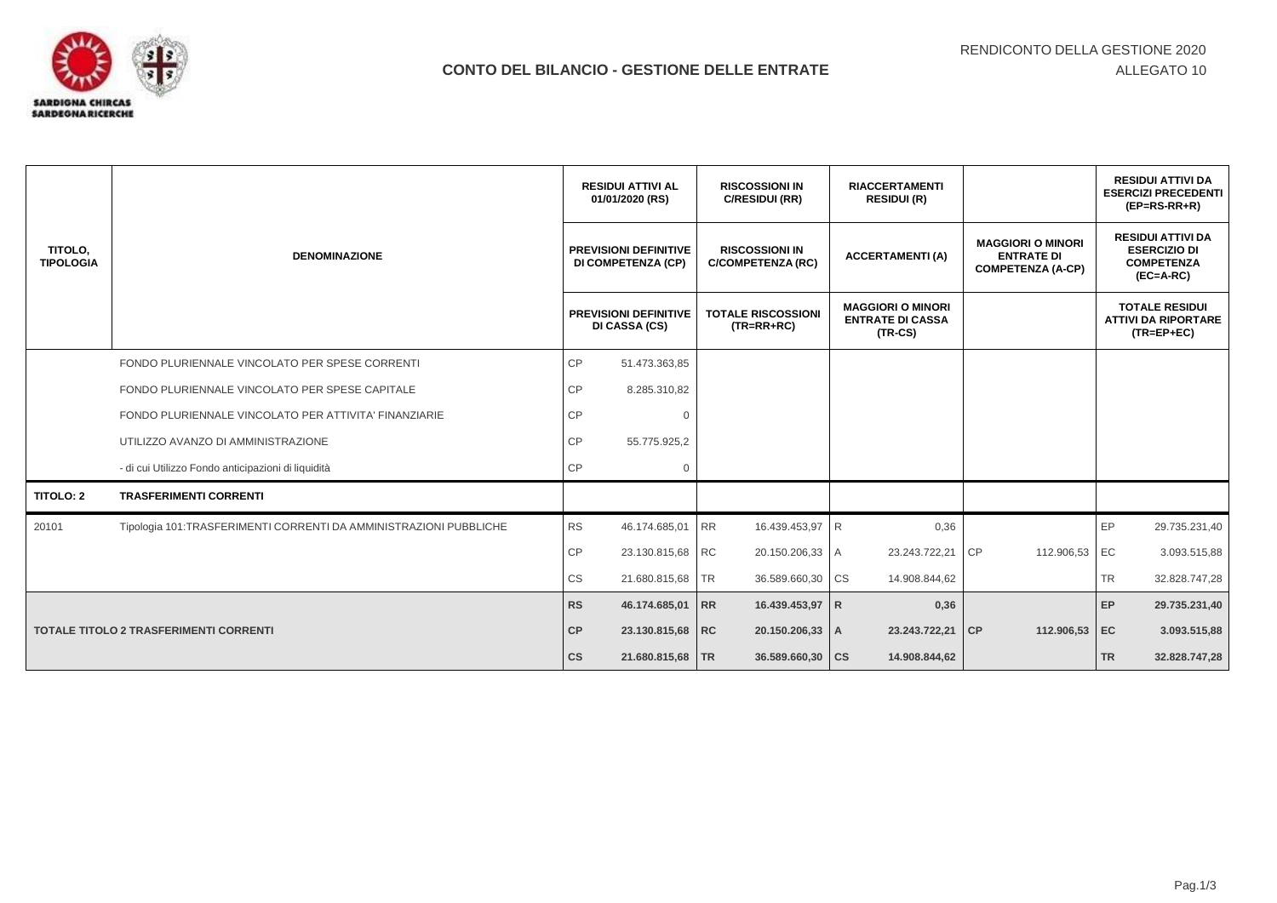

|                                               |                                                                   | <b>RESIDUI ATTIVI AL</b><br>01/01/2020 (RS)<br><b>PREVISIONI DEFINITIVE</b><br><b>DI COMPETENZA (CP)</b> |                                               | <b>RISCOSSIONI IN</b><br>C/RESIDUI (RR)           | <b>RIACCERTAMENTI</b><br><b>RESIDUI (R)</b>                      |                                                                           |                                                                                     | <b>RESIDUI ATTIVI DA</b><br><b>ESERCIZI PRECEDENTI</b><br>$(EP=RS-RR+R)$ |
|-----------------------------------------------|-------------------------------------------------------------------|----------------------------------------------------------------------------------------------------------|-----------------------------------------------|---------------------------------------------------|------------------------------------------------------------------|---------------------------------------------------------------------------|-------------------------------------------------------------------------------------|--------------------------------------------------------------------------|
| TITOLO.<br><b>TIPOLOGIA</b>                   | <b>DENOMINAZIONE</b>                                              |                                                                                                          |                                               | <b>RISCOSSIONI IN</b><br><b>C/COMPETENZA (RC)</b> | <b>ACCERTAMENTI(A)</b>                                           | <b>MAGGIORI O MINORI</b><br><b>ENTRATE DI</b><br><b>COMPETENZA (A-CP)</b> | <b>RESIDUI ATTIVI DA</b><br><b>ESERCIZIO DI</b><br><b>COMPETENZA</b><br>$(EC=A-RC)$ |                                                                          |
|                                               |                                                                   |                                                                                                          | <b>PREVISIONI DEFINITIVE</b><br>DI CASSA (CS) | <b>TOTALE RISCOSSIONI</b><br>$(TR = RR + RC)$     | <b>MAGGIORI O MINORI</b><br><b>ENTRATE DI CASSA</b><br>$(TR-CS)$ |                                                                           |                                                                                     | <b>TOTALE RESIDUI</b><br><b>ATTIVI DA RIPORTARE</b><br>$(TR = EP + EC)$  |
|                                               | FONDO PLURIENNALE VINCOLATO PER SPESE CORRENTI                    | CP                                                                                                       | 51.473.363,85                                 |                                                   |                                                                  |                                                                           |                                                                                     |                                                                          |
|                                               | FONDO PLURIENNALE VINCOLATO PER SPESE CAPITALE                    | CP                                                                                                       | 8.285.310,82                                  |                                                   |                                                                  |                                                                           |                                                                                     |                                                                          |
|                                               | FONDO PLURIENNALE VINCOLATO PER ATTIVITA' FINANZIARIE             | CP                                                                                                       | $\Omega$                                      |                                                   |                                                                  |                                                                           |                                                                                     |                                                                          |
|                                               | UTILIZZO AVANZO DI AMMINISTRAZIONE                                | <b>CP</b>                                                                                                | 55.775.925,2                                  |                                                   |                                                                  |                                                                           |                                                                                     |                                                                          |
|                                               | - di cui Utilizzo Fondo anticipazioni di liquidità                | <b>CP</b>                                                                                                | $\mathbf 0$                                   |                                                   |                                                                  |                                                                           |                                                                                     |                                                                          |
| <b>TITOLO: 2</b>                              | <b>TRASFERIMENTI CORRENTI</b>                                     |                                                                                                          |                                               |                                                   |                                                                  |                                                                           |                                                                                     |                                                                          |
| 20101                                         | Tipologia 101:TRASFERIMENTI CORRENTI DA AMMINISTRAZIONI PUBBLICHE | <b>RS</b>                                                                                                | 46.174.685,01                                 | <b>RR</b><br>16.439.453,97                        | $\mathsf{R}$<br>0,36                                             |                                                                           | EP                                                                                  | 29.735.231,40                                                            |
|                                               |                                                                   | CP                                                                                                       | 23.130.815,68 RC                              | 20.150.206,33 A                                   | 23.243.722,21                                                    | CP<br>112.906,53                                                          | EC                                                                                  | 3.093.515,88                                                             |
|                                               |                                                                   | <b>CS</b>                                                                                                | 21.680.815,68 TR                              | 36.589.660,30 CS                                  | 14.908.844,62                                                    |                                                                           | TR.                                                                                 | 32.828.747,28                                                            |
|                                               |                                                                   | <b>RS</b>                                                                                                | 46.174.685,01 RR                              | 16.439.453,97 R                                   | 0,36                                                             |                                                                           | EP                                                                                  | 29.735.231,40                                                            |
| <b>TOTALE TITOLO 2 TRASFERIMENTI CORRENTI</b> |                                                                   | CP                                                                                                       | 23.130.815,68 RC                              | 20.150.206,33 A                                   | 23.243.722,21                                                    | CP<br>112.906,53                                                          | EC                                                                                  | 3.093.515,88                                                             |
|                                               |                                                                   | $\mathsf{CS}\phantom{0}$                                                                                 | 21.680.815,68   TR                            | 36.589.660,30   CS                                | 14.908.844,62                                                    |                                                                           | <b>TR</b>                                                                           | 32.828.747,28                                                            |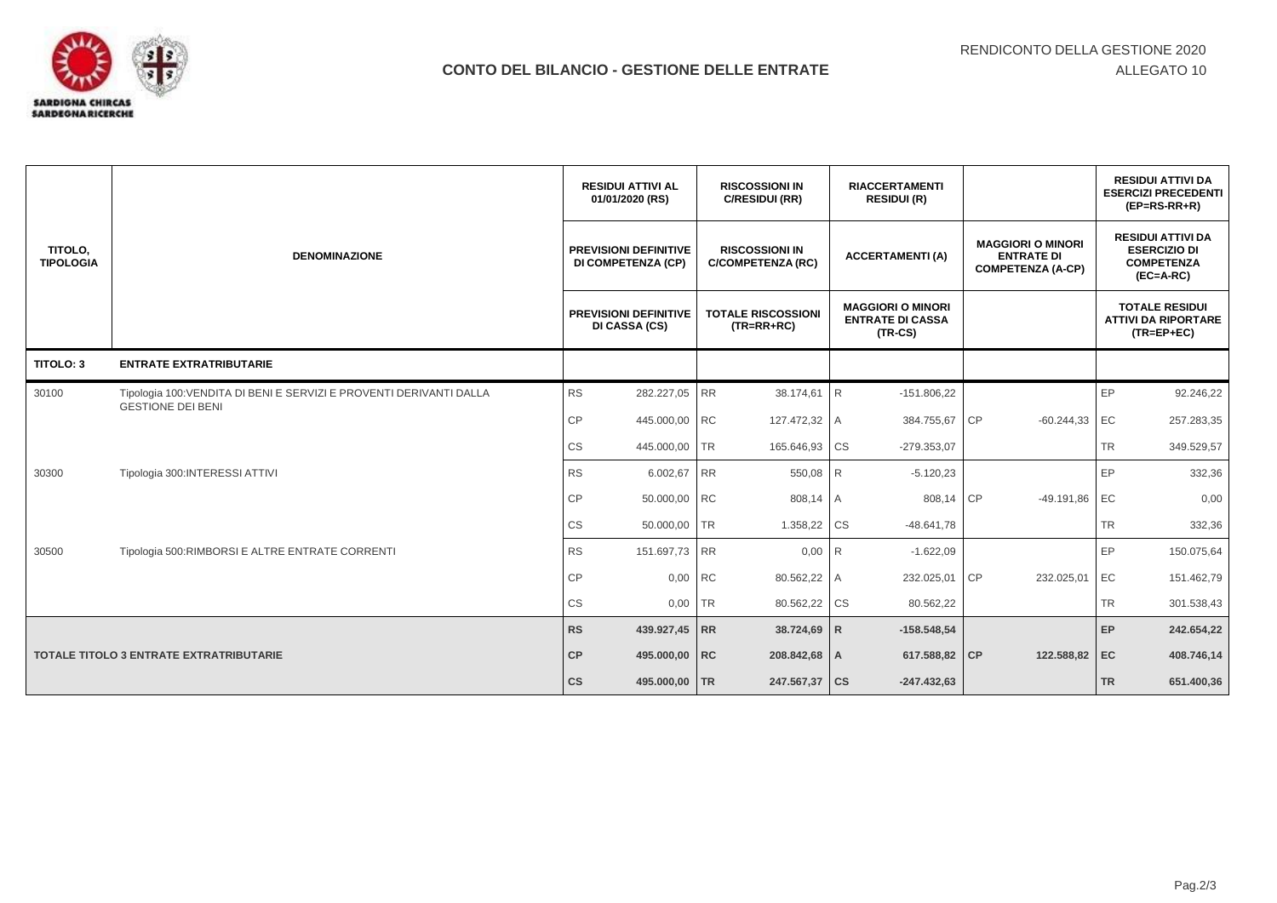

|                                         |                                                                                                 | <b>RESIDUI ATTIVI AL</b><br>01/01/2020 (RS)        | <b>RISCOSSIONI IN</b><br>C/RESIDUI (RR)           | <b>RIACCERTAMENTI</b><br><b>RESIDUI (R)</b>                      |                                                                           | <b>RESIDUI ATTIVI DA</b><br><b>ESERCIZI PRECEDENTI</b><br>$(EP=RS-RR+R)$            |  |
|-----------------------------------------|-------------------------------------------------------------------------------------------------|----------------------------------------------------|---------------------------------------------------|------------------------------------------------------------------|---------------------------------------------------------------------------|-------------------------------------------------------------------------------------|--|
| TITOLO,<br><b>TIPOLOGIA</b>             | <b>DENOMINAZIONE</b>                                                                            | <b>PREVISIONI DEFINITIVE</b><br>DI COMPETENZA (CP) | <b>RISCOSSIONI IN</b><br><b>C/COMPETENZA (RC)</b> | <b>ACCERTAMENTI (A)</b>                                          | <b>MAGGIORI O MINORI</b><br><b>ENTRATE DI</b><br><b>COMPETENZA (A-CP)</b> | <b>RESIDUI ATTIVI DA</b><br><b>ESERCIZIO DI</b><br><b>COMPETENZA</b><br>$(EC=A-RC)$ |  |
|                                         |                                                                                                 | <b>PREVISIONI DEFINITIVE</b><br>DI CASSA (CS)      | <b>TOTALE RISCOSSIONI</b><br>$(TR = RR + RC)$     | <b>MAGGIORI O MINORI</b><br><b>ENTRATE DI CASSA</b><br>$(TR-CS)$ |                                                                           | <b>TOTALE RESIDUI</b><br><b>ATTIVI DA RIPORTARE</b><br>$(TR = EP + EC)$             |  |
| TITOLO: 3                               | <b>ENTRATE EXTRATRIBUTARIE</b>                                                                  |                                                    |                                                   |                                                                  |                                                                           |                                                                                     |  |
| 30100                                   | Tipologia 100: VENDITA DI BENI E SERVIZI E PROVENTI DERIVANTI DALLA<br><b>GESTIONE DEI BENI</b> | <b>RS</b><br>282.227,05                            | <b>RR</b><br>38.174,61                            | R<br>$-151.806,22$                                               |                                                                           | EP<br>92.246,22                                                                     |  |
|                                         |                                                                                                 | <b>CP</b><br>445.000,00                            | <b>RC</b><br>127.472,32 A                         | 384.755,67                                                       | CP<br>$-60.244,33$                                                        | EC<br>257.283,35                                                                    |  |
|                                         |                                                                                                 | <b>CS</b><br>445.000,00                            | <b>TR</b><br>165.646,93 CS                        | $-279.353.07$                                                    |                                                                           | <b>TR</b><br>349.529,57                                                             |  |
| 30300                                   | Tipologia 300: INTERESSI ATTIVI                                                                 | <b>RS</b><br>6.002,67                              | RR<br>550,08 R                                    | $-5.120,23$                                                      |                                                                           | EP<br>332,36                                                                        |  |
|                                         |                                                                                                 | <b>CP</b><br>50.000,00                             | <b>RC</b><br>808,14 A                             | 808,14                                                           | <b>CP</b><br>$-49.191,86$                                                 | EC<br>0,00                                                                          |  |
|                                         |                                                                                                 | CS<br>50.000,00                                    | <b>TR</b><br>1.358,22 CS                          | $-48.641,78$                                                     |                                                                           | <b>TR</b><br>332,36                                                                 |  |
| 30500                                   | Tipologia 500:RIMBORSI E ALTRE ENTRATE CORRENTI                                                 | <b>RS</b><br>151.697,73                            | <b>RR</b><br>$0,00$ R                             | $-1.622,09$                                                      |                                                                           | EP<br>150.075,64                                                                    |  |
|                                         |                                                                                                 | CP<br>0,00                                         | <b>RC</b><br>80.562,22 A                          | 232.025,01                                                       | CP<br>232.025,01                                                          | EC<br>151.462,79                                                                    |  |
|                                         |                                                                                                 | CS<br>0,00                                         | 80.562,22 CS<br><b>TR</b>                         | 80.562,22                                                        |                                                                           | TR<br>301.538,43                                                                    |  |
| TOTALE TITOLO 3 ENTRATE EXTRATRIBUTARIE |                                                                                                 | <b>RS</b><br>439.927,45 RR                         | 38.724,69                                         | $\mathsf{R}$<br>$-158.548,54$                                    |                                                                           | EP<br>242.654,22                                                                    |  |
|                                         |                                                                                                 | CP<br>495.000,00                                   | 208.842,68 A<br><b>RC</b>                         | 617.588,82                                                       | 122.588,82<br>CP                                                          | EC<br>408.746,14                                                                    |  |
|                                         |                                                                                                 | $\mathsf{cs}$<br>495.000,00 TR                     | 247.567,37 CS                                     | $-247.432,63$                                                    |                                                                           | <b>TR</b><br>651.400,36                                                             |  |